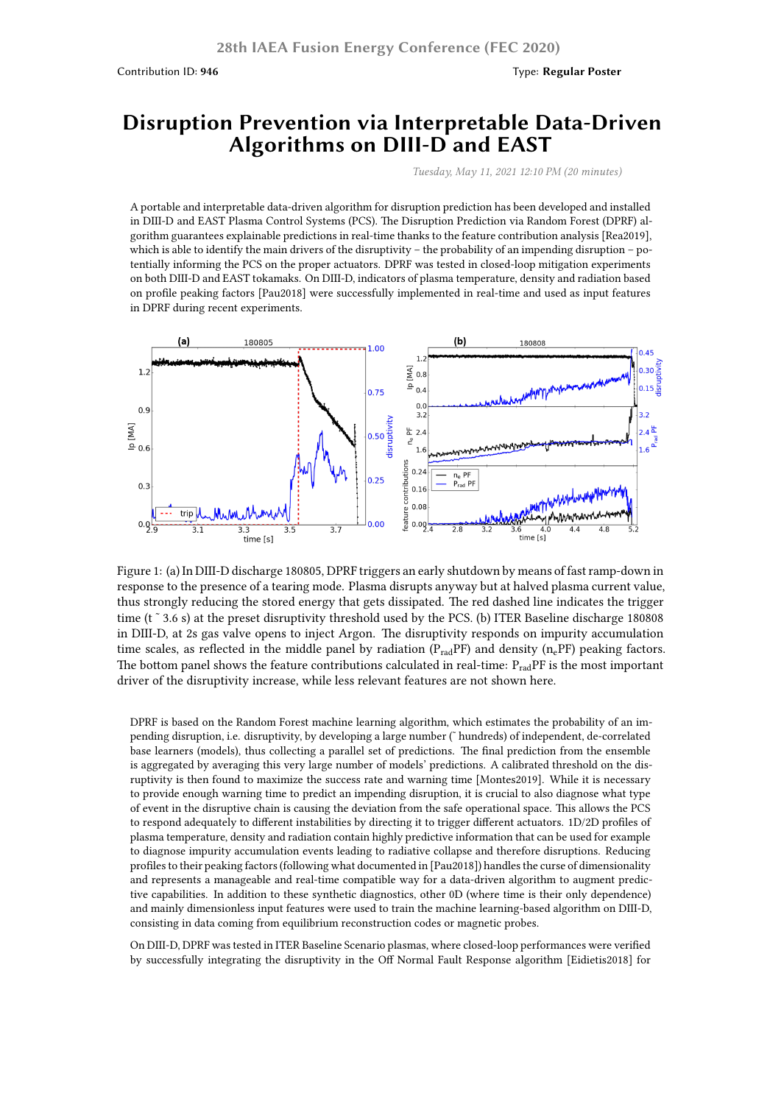Contribution ID: **946** Type: **Regular Poster**

## **Disruption Prevention via Interpretable Data-Driven Algorithms on DIII-D and EAST**

*Tuesday, May 11, 2021 12:10 PM (20 minutes)*

A portable and interpretable data-driven algorithm for disruption prediction has been developed and installed in DIII-D and EAST Plasma Control Systems (PCS). The Disruption Prediction via Random Forest (DPRF) algorithm guarantees explainable predictions in real-time thanks to the feature contribution analysis [Rea2019], which is able to identify the main drivers of the disruptivity – the probability of an impending disruption – potentially informing the PCS on the proper actuators. DPRF was tested in closed-loop mitigation experiments on both DIII-D and EAST tokamaks. On DIII-D, indicators of plasma temperature, density and radiation based on profile peaking factors [Pau2018] were successfully implemented in real-time and used as input features in DPRF during recent experiments.



Figure 1: (a) In DIII-D discharge 180805, DPRF triggers an early shutdown by means of fast ramp-down in response to the presence of a tearing mode. Plasma disrupts anyway but at halved plasma current value, thus strongly reducing the stored energy that gets dissipated. The red dashed line indicates the trigger time (t<sup>o</sup> 3.6 s) at the preset disruptivity threshold used by the PCS. (b) ITER Baseline discharge 180808 in DIII-D, at 2s gas valve opens to inject Argon. The disruptivity responds on impurity accumulation time scales, as reflected in the middle panel by radiation  $(P_{rad}PF)$  and density  $(n_ePF)$  peaking factors. The bottom panel shows the feature contributions calculated in real-time:  $P_{rad}$ PF is the most important driver of the disruptivity increase, while less relevant features are not shown here.

DPRF is based on the Random Forest machine learning algorithm, which estimates the probability of an impending disruption, i.e. disruptivity, by developing a large number (˜ hundreds) of independent, de-correlated base learners (models), thus collecting a parallel set of predictions. The final prediction from the ensemble is aggregated by averaging this very large number of models' predictions. A calibrated threshold on the disruptivity is then found to maximize the success rate and warning time [Montes2019]. While it is necessary to provide enough warning time to predict an impending disruption, it is crucial to also diagnose what type of event in the disruptive chain is causing the deviation from the safe operational space. This allows the PCS to respond adequately to different instabilities by directing it to trigger different actuators. 1D/2D profiles of plasma temperature, density and radiation contain highly predictive information that can be used for example to diagnose impurity accumulation events leading to radiative collapse and therefore disruptions. Reducing profiles to their peaking factors (following what documented in [Pau2018]) handles the curse of dimensionality and represents a manageable and real-time compatible way for a data-driven algorithm to augment predictive capabilities. In addition to these synthetic diagnostics, other 0D (where time is their only dependence) and mainly dimensionless input features were used to train the machine learning-based algorithm on DIII-D, consisting in data coming from equilibrium reconstruction codes or magnetic probes.

On DIII-D, DPRF was tested in ITER Baseline Scenario plasmas, where closed-loop performances were verified by successfully integrating the disruptivity in the Off Normal Fault Response algorithm [Eidietis2018] for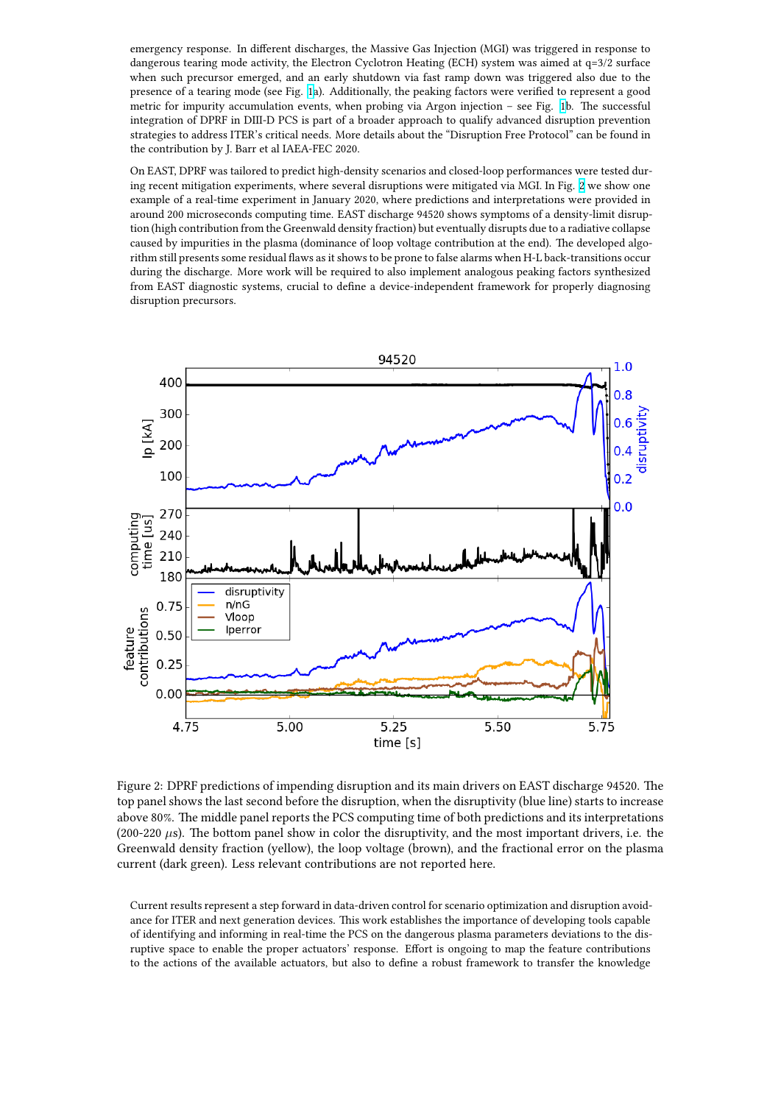dangerous tearing mode activity, the Electron Cyclotron Heating (ECH) system was aimed at q=3/2 surface when such precursor emerged, and an early shutdown via fast ramp down was triggered also due to the presence of a tearing mode (see Fig. 1a). Additionally, the peaking factors were verified to represent a good metric for impurity accumulation events, when probing via Argon injection – see Fig. 1b. The successful integration of DPRF in DIII-D PCS is part of a broader approach to qualify advanced disruption prevention strategies to address ITER's critical needs. More details about the "Disruption Free Protocol" can be found in the contribution by J. Barr et al IAE[A-F](https://lh3.googleusercontent.com/FQQOHNDP-GRfzGKFFEiTuBJV50BA0hHQn_M7pWTBhOPyMC7pk3tKutOZj-TaOQsk7PrHAhcISTh3FWzobzQYllXLw_EYroxlHhTwVtVE3-WYhAxIMVlev0NCD87Ar32pPZP4ijZJ_1g4cp_K2LmPSp9g14AlrReVOaVJUVtsnxvEcB3VGDG8uT4tMx3UJi682rp2fkLq8cBM1uXqB5wwZlg1tiSWJV-VdeYDmPSKAffSKyeVYLro2aOqGNVSITto8xs4_idXTESPFePc2YdQsW9A3Oo3533mJACbnYngNgJm9ir0WkcNxoCnW9zZ-rHcSCKgNzJqRjdgwFBQbEy151VzPv7EVjofQJ4pZOuhAtMYICN0X5GMrOpDcez_cict0IDpkq8bVbHBRI_IotxV1SFCLydboHglx0yZ8LIVjTcaSjy-JeGGRBEzJSt-OiMdEDbLh9b9X1G9W6Se2H3RePEjjygQFJBx9tW1jsHjfioQTWK9jt3Xm9_FT0eUdYMoH1X1T6K_koHDnm96aUaySF1aPvj9dqGcS1HN6yd1Zd2_HZEIbShP29baAP3LEZfTP1Cpow2tkR_Mqdf1xRtiUqVW-Q1BqPCXe6a1HOUpaXDLh2k1Tjebm-lGywxPHgDX0CM7TlACA160RuuoyO4z2cP0fCg1RougCnAVYSKpyy44mEc8tqc3F560mgjxOVo6XKZmsDOO-LrQbe8rpa18FlkQfGgGZ2M2YS4wnh2IJQxwDQ=w1889-h744-no)EC 2020.

On EAST, DPRF was tailored to predict high-density scenarios and closed-loop performan[ce](https://lh3.googleusercontent.com/FQQOHNDP-GRfzGKFFEiTuBJV50BA0hHQn_M7pWTBhOPyMC7pk3tKutOZj-TaOQsk7PrHAhcISTh3FWzobzQYllXLw_EYroxlHhTwVtVE3-WYhAxIMVlev0NCD87Ar32pPZP4ijZJ_1g4cp_K2LmPSp9g14AlrReVOaVJUVtsnxvEcB3VGDG8uT4tMx3UJi682rp2fkLq8cBM1uXqB5wwZlg1tiSWJV-VdeYDmPSKAffSKyeVYLro2aOqGNVSITto8xs4_idXTESPFePc2YdQsW9A3Oo3533mJACbnYngNgJm9ir0WkcNxoCnW9zZ-rHcSCKgNzJqRjdgwFBQbEy151VzPv7EVjofQJ4pZOuhAtMYICN0X5GMrOpDcez_cict0IDpkq8bVbHBRI_IotxV1SFCLydboHglx0yZ8LIVjTcaSjy-JeGGRBEzJSt-OiMdEDbLh9b9X1G9W6Se2H3RePEjjygQFJBx9tW1jsHjfioQTWK9jt3Xm9_FT0eUdYMoH1X1T6K_koHDnm96aUaySF1aPvj9dqGcS1HN6yd1Zd2_HZEIbShP29baAP3LEZfTP1Cpow2tkR_Mqdf1xRtiUqVW-Q1BqPCXe6a1HOUpaXDLh2k1Tjebm-lGywxPHgDX0CM7TlACA160RuuoyO4z2cP0fCg1RougCnAVYSKpyy44mEc8tqc3F560mgjxOVo6XKZmsDOO-LrQbe8rpa18FlkQfGgGZ2M2YS4wnh2IJQxwDQ=w1889-h744-no)s were tested during recent mitigation experiments, where several disruptions were mitigated via MGI. In Fig. 2 we show one example of a real-time experiment in January 2020, where predictions and interpretations were provided in around 200 microseconds computing time. EAST discharge 94520 shows symptoms of a density-limit disruption (high contribution from the Greenwald density fraction) but eventually disrupts due to a radiative collapse caused by impurities in the plasma (dominance of loop voltage contribution at the end). The developed algorithm still presents some residual flaws as it shows to be prone to false alarms when H-L back-tr[an](https://lh3.googleusercontent.com/Vwj0QxUR0pXuRx4cJ_hxvZx_9VGiKoGlq1gaWzx9fhjnr3ykEdOfFK4zUAJEq7wEqsYI1FeBjVBPZ1d7vbTYIEePtKtY9eUT_xbSlnsrU4arVH1_mHVO954pkQec_YEfzu3lfzFhd0dxA9IoWAKDdGkK6E4v11g_EWIH8G5GrgAW-LPff3Phq2t-IkLLzp4Wa7yObRyzXqqALIDnxhT36a7g2Mo0m0tQcqXuVGazHH2Vt8gar4S0cjRiJSy9ywrcM18Fo7b_cHacKtdUPu-WHLW8Z7Rs7_aRMpF7zaPPwZrB6dWuNvzfe4Aeps3FedT9mdL1OqksMoO79snDrkJUn7cAg1UTkEbbzB-CaNkqfJP3MscjrLYm57dezm9qYSlMmnxyOD9DTLZEU4OSLmsfsREKWLQS7FVxofDVrtN5EqZxoarkboePQnERrJiVcIXdMxWyVGPE2RBbbG2_j0ifot_exAjdbEKT55S9gOQkbX0od88q1X5Ckt1N4hFMGazW1twUAtimv8wjv0C4wuGnzJBMrNx2S_blb-6_3qXz049QjhFoRh6JK3iHOVcbKSNw5Jf8lSKN9R41DHnRO7iDB7wJqX-oW0Prv61gCfdk_sKhMbHhiL5RyLoQ_bvJsbs7cRqKQ-po-qMbDvAb56SuL4CA9SW27idTWU7Slhp26adqQ8M2dXUJ=w1000-h800-no)sitions occur during the discharge. More work will be required to also implement analogous peaking factors synthesized from EAST diagnostic systems, crucial to define a device-independent framework for properly diagnosing disruption precursors.



Figure 2: DPRF predictions of impending disruption and its main drivers on EAST discharge 94520. The top panel shows the last second before the disruption, when the disruptivity (blue line) starts to increase above 80%. The middle panel reports the PCS computing time of both predictions and its interpretations (200-220 *µ*s). The bottom panel show in color the disruptivity, and the most important drivers, i.e. the Greenwald density fraction (yellow), the loop voltage (brown), and the fractional error on the plasma current (dark green). Less relevant contributions are not reported here.

Current results represent a step forward in data-driven control for scenario optimization and disruption avoidance for ITER and next generation devices. This work establishes the importance of developing tools capable of identifying and informing in real-time the PCS on the dangerous plasma parameters deviations to the disruptive space to enable the proper actuators' response. Effort is ongoing to map the feature contributions to the actions of the available actuators, but also to define a robust framework to transfer the knowledge